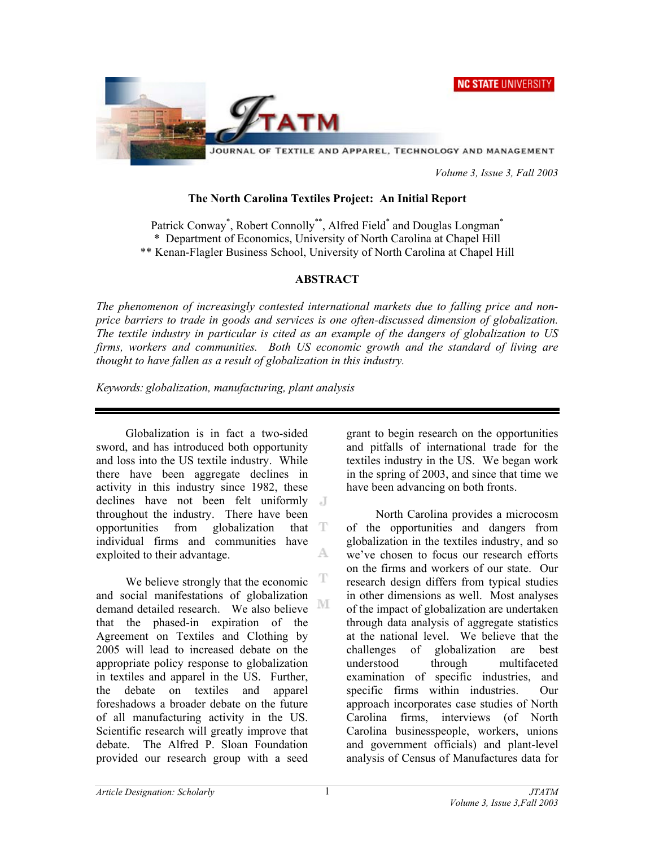



JOURNAL OF TEXTILE AND APPAREL, TECHNOLOGY AND MANAGEMENT

 *Volume 3, Issue 3, Fall 2003* 

#### **The North Carolina Textiles Project: An Initial Report**

Patrick Conway<sup>\*</sup>, Robert Connolly<sup>\*\*</sup>, Alfred Field<sup>\*</sup> and Douglas Longman<sup>\*</sup> \* Department of Economics, University of North Carolina at Chapel Hill \*\* Kenan-Flagler Business School, University of North Carolina at Chapel Hill

### **ABSTRACT**

*The phenomenon of increasingly contested international markets due to falling price and nonprice barriers to trade in goods and services is one often-discussed dimension of globalization. The textile industry in particular is cited as an example of the dangers of globalization to US firms, workers and communities. Both US economic growth and the standard of living are thought to have fallen as a result of globalization in this industry.* 

*Keywords: globalization, manufacturing, plant analysis*

Globalization is in fact a two-sided sword, and has introduced both opportunity and loss into the US textile industry. While there have been aggregate declines in activity in this industry since 1982, these declines have not been felt uniformly throughout the industry. There have been opportunities from globalization that  $T$ individual firms and communities have A. exploited to their advantage.

T We believe strongly that the economic and social manifestations of globalization М demand detailed research. We also believe that the phased-in expiration of the Agreement on Textiles and Clothing by 2005 will lead to increased debate on the appropriate policy response to globalization in textiles and apparel in the US. Further, the debate on textiles and apparel foreshadows a broader debate on the future of all manufacturing activity in the US. Scientific research will greatly improve that debate. The Alfred P. Sloan Foundation provided our research group with a seed

grant to begin research on the opportunities and pitfalls of international trade for the textiles industry in the US. We began work in the spring of 2003, and since that time we have been advancing on both fronts.

North Carolina provides a microcosm of the opportunities and dangers from globalization in the textiles industry, and so we've chosen to focus our research efforts on the firms and workers of our state. Our research design differs from typical studies in other dimensions as well. Most analyses of the impact of globalization are undertaken through data analysis of aggregate statistics at the national level. We believe that the challenges of globalization are best understood through multifaceted examination of specific industries, and specific firms within industries. Our approach incorporates case studies of North Carolina firms, interviews (of North Carolina businesspeople, workers, unions and government officials) and plant-level analysis of Census of Manufactures data for

1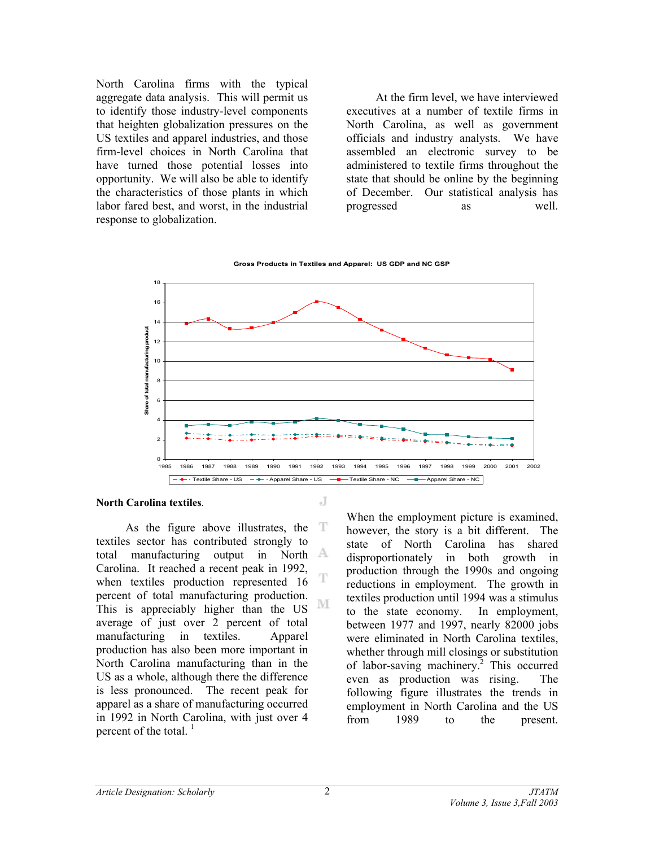North Carolina firms with the typical aggregate data analysis. This will permit us to identify those industry-level components that heighten globalization pressures on the US textiles and apparel industries, and those firm-level choices in North Carolina that have turned those potential losses into opportunity. We will also be able to identify the characteristics of those plants in which labor fared best, and worst, in the industrial response to globalization.

At the firm level, we have interviewed executives at a number of textile firms in North Carolina, as well as government officials and industry analysts. We have assembled an electronic survey to be administered to textile firms throughout the state that should be online by the beginning of December. Our statistical analysis has progressed as well.



 $\overline{\mathbf{J}}$ 

T

#### **North Carolina textiles**.

As the figure above illustrates, the  $T$ textiles sector has contributed strongly to total manufacturing output in North Carolina. It reached a recent peak in 1992, when textiles production represented 16 percent of total manufacturing production. M This is appreciably higher than the US average of just over 2 percent of total manufacturing in textiles. Apparel production has also been more important in North Carolina manufacturing than in the US as a whole, although there the difference is less pronounced. The recent peak for apparel as a share of manufacturing occurred in 1992 in North Carolina, with just over 4 percent of the total.  $<sup>1</sup>$ </sup>

When the employment picture is examined, however, the story is a bit different. The state of North Carolina has shared disproportionately in both growth in production through the 1990s and ongoing reductions in employment. The growth in textiles production until 1994 was a stimulus to the state economy. In employment, between 1977 and 1997, nearly 82000 jobs were eliminated in North Carolina textiles, whether through mill closings or substitution of labor-saving machinery.<sup>2</sup> This occurred even as production was rising. The following figure illustrates the trends in employment in North Carolina and the US from 1989 to the present.

2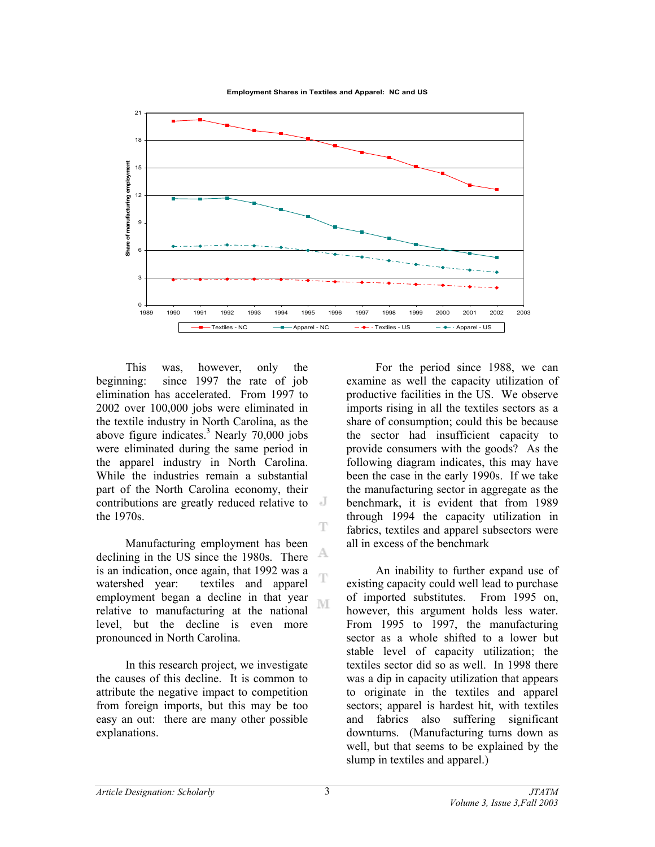**Employment Shares in Textiles and Apparel: NC and US**



This was, however, only the beginning: since 1997 the rate of job elimination has accelerated. From 1997 to 2002 over 100,000 jobs were eliminated in the textile industry in North Carolina, as the above figure indicates. $3$  Nearly 70,000 jobs were eliminated during the same period in the apparel industry in North Carolina. While the industries remain a substantial part of the North Carolina economy, their contributions are greatly reduced relative to the 1970s.

Manufacturing employment has been A declining in the US since the 1980s. There is an indication, once again, that 1992 was a watershed year: textiles and apparel employment began a decline in that year M relative to manufacturing at the national level, but the decline is even more pronounced in North Carolina.

In this research project, we investigate the causes of this decline. It is common to attribute the negative impact to competition from foreign imports, but this may be too easy an out: there are many other possible explanations.

For the period since 1988, we can examine as well the capacity utilization of productive facilities in the US. We observe imports rising in all the textiles sectors as a share of consumption; could this be because the sector had insufficient capacity to provide consumers with the goods? As the following diagram indicates, this may have been the case in the early 1990s. If we take the manufacturing sector in aggregate as the benchmark, it is evident that from 1989 through 1994 the capacity utilization in fabrics, textiles and apparel subsectors were all in excess of the benchmark

An inability to further expand use of existing capacity could well lead to purchase of imported substitutes. From 1995 on, however, this argument holds less water. From 1995 to 1997, the manufacturing sector as a whole shifted to a lower but stable level of capacity utilization; the textiles sector did so as well. In 1998 there was a dip in capacity utilization that appears to originate in the textiles and apparel sectors; apparel is hardest hit, with textiles and fabrics also suffering significant downturns. (Manufacturing turns down as well, but that seems to be explained by the slump in textiles and apparel.)

T

T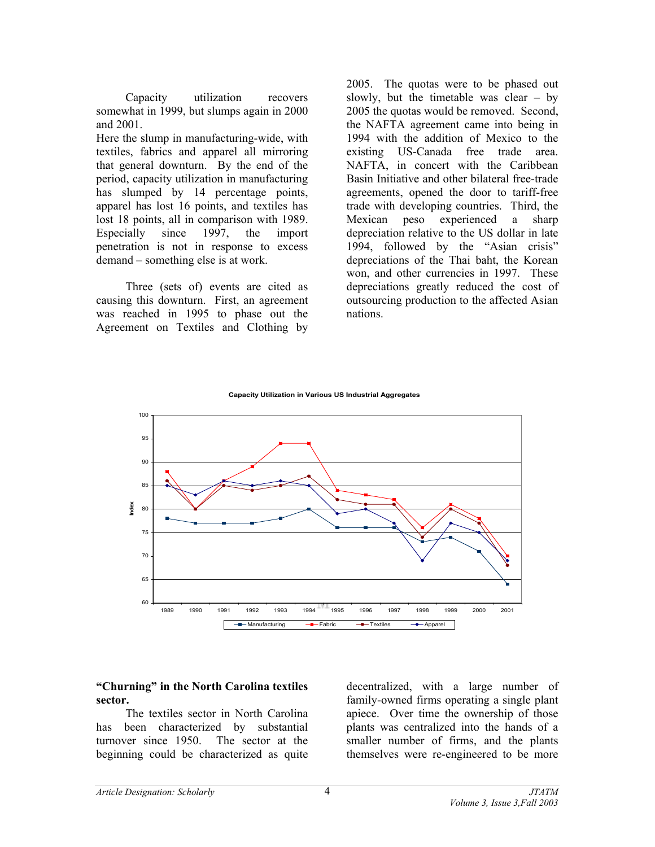Capacity utilization recovers somewhat in 1999, but slumps again in 2000 and 2001.

Here the slump in manufacturing-wide, with textiles, fabrics and apparel all mirroring that general downturn. By the end of the period, capacity utilization in manufacturing has slumped by 14 percentage points, apparel has lost 16 points, and textiles has lost 18 points, all in comparison with 1989.<br>Especially since 1997, the import Especially since 1997, the import penetration is not in response to excess demand – something else is at work.

Three (sets of) events are cited as causing this downturn. First, an agreement was reached in 1995 to phase out the Agreement on Textiles and Clothing by

2005. The quotas were to be phased out slowly, but the timetable was clear – by 2005 the quotas would be removed. Second, the NAFTA agreement came into being in 1994 with the addition of Mexico to the existing US-Canada free trade area. NAFTA, in concert with the Caribbean Basin Initiative and other bilateral free-trade agreements, opened the door to tariff-free trade with developing countries. Third, the Mexican peso experienced a sharp depreciation relative to the US dollar in late 1994, followed by the "Asian crisis" depreciations of the Thai baht, the Korean won, and other currencies in 1997. These depreciations greatly reduced the cost of outsourcing production to the affected Asian nations.





## **"Churning" in the North Carolina textiles sector.**

The textiles sector in North Carolina has been characterized by substantial turnover since 1950. The sector at the beginning could be characterized as quite

decentralized, with a large number of family-owned firms operating a single plant apiece. Over time the ownership of those plants was centralized into the hands of a smaller number of firms, and the plants themselves were re-engineered to be more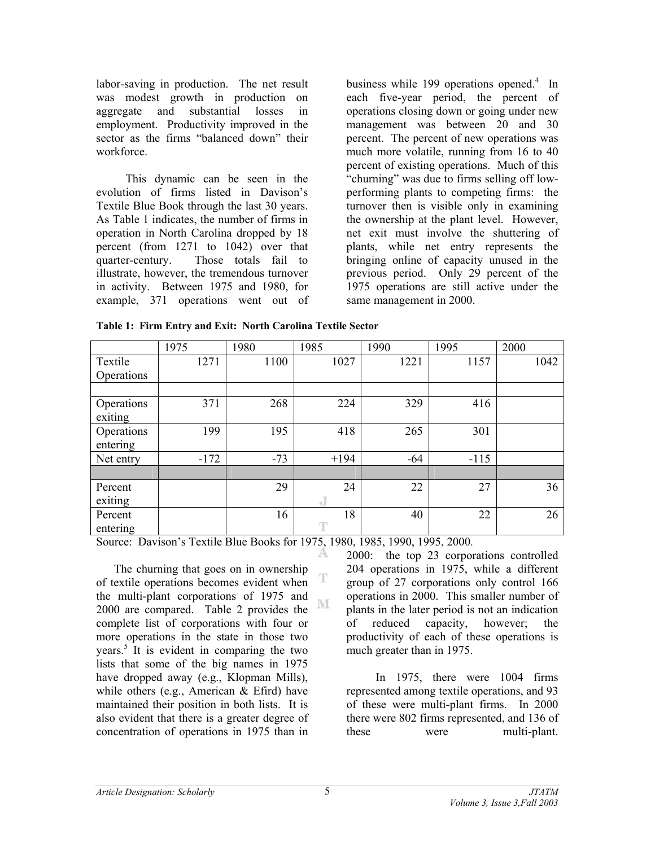labor-saving in production. The net result was modest growth in production on aggregate and substantial losses in employment. Productivity improved in the sector as the firms "balanced down" their workforce.

This dynamic can be seen in the evolution of firms listed in Davison's Textile Blue Book through the last 30 years. As Table 1 indicates, the number of firms in operation in North Carolina dropped by 18 percent (from 1271 to 1042) over that quarter-century. Those totals fail to illustrate, however, the tremendous turnover in activity. Between 1975 and 1980, for example, 371 operations went out of

business while 199 operations opened.<sup>4</sup> In each five-year period, the percent of operations closing down or going under new management was between 20 and 30 percent. The percent of new operations was much more volatile, running from 16 to 40 percent of existing operations. Much of this "churning" was due to firms selling off lowperforming plants to competing firms: the turnover then is visible only in examining the ownership at the plant level. However, net exit must involve the shuttering of plants, while net entry represents the bringing online of capacity unused in the previous period. Only 29 percent of the 1975 operations are still active under the same management in 2000.

|  |  | Table 1: Firm Entry and Exit: North Carolina Textile Sector |  |
|--|--|-------------------------------------------------------------|--|
|  |  |                                                             |  |

|                        | 1975   | 1980  | 1985      | 1990  | 1995   | 2000 |
|------------------------|--------|-------|-----------|-------|--------|------|
| Textile<br>Operations  | 1271   | 1100  | 1027      | 1221  | 1157   | 1042 |
|                        |        |       |           |       |        |      |
| Operations<br>exiting  | 371    | 268   | 224       | 329   | 416    |      |
| Operations<br>entering | 199    | 195   | 418       | 265   | 301    |      |
| Net entry              | $-172$ | $-73$ | $+194$    | $-64$ | $-115$ |      |
|                        |        |       |           |       |        |      |
| Percent<br>exiting     |        | 29    | 24<br>eJ. | 22    | 27     | 36   |
| Percent<br>entering    |        | 16    | 18<br>T   | 40    | 22     | 26   |

T

Source: Davison's Textile Blue Books for 1975, 1980, 1985, 1990, 1995, 2000.

 The churning that goes on in ownership of textile operations becomes evident when the multi-plant corporations of 1975 and M 2000 are compared. Table 2 provides the complete list of corporations with four or more operations in the state in those two years.<sup>5</sup> It is evident in comparing the two lists that some of the big names in 1975 have dropped away (e.g., Klopman Mills), while others (e.g., American & Efird) have maintained their position in both lists. It is also evident that there is a greater degree of concentration of operations in 1975 than in

2000: the top 23 corporations controlled 204 operations in 1975, while a different group of 27 corporations only control 166 operations in 2000. This smaller number of plants in the later period is not an indication of reduced capacity, however; the productivity of each of these operations is much greater than in 1975.

In 1975, there were 1004 firms represented among textile operations, and 93 of these were multi-plant firms. In 2000 there were 802 firms represented, and 136 of these were multi-plant.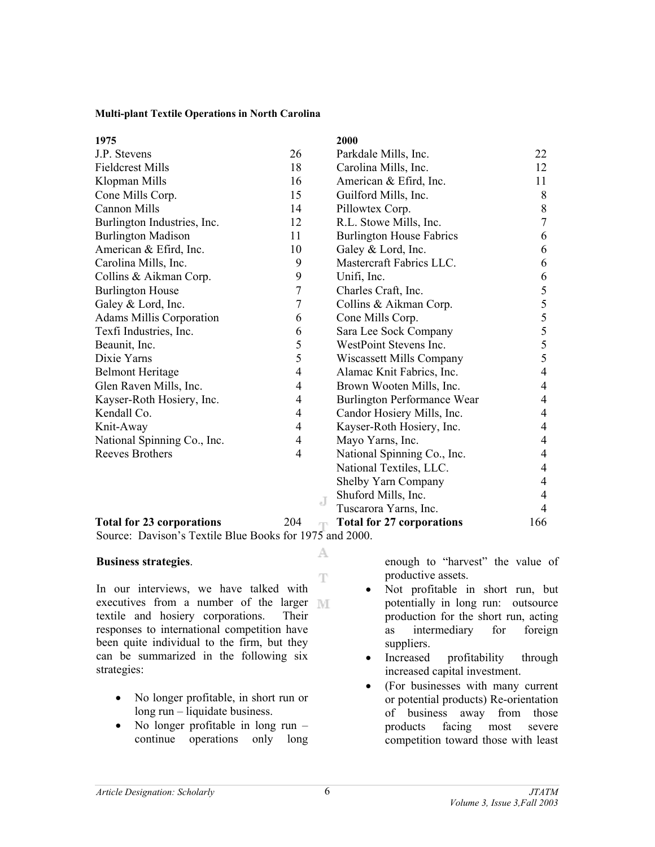#### **Multi-plant Textile Operations in North Carolina**

| 1975                             |                |   | 2000                               |                          |
|----------------------------------|----------------|---|------------------------------------|--------------------------|
| J.P. Stevens                     | 26             |   | Parkdale Mills, Inc.               | 22                       |
| <b>Fieldcrest Mills</b>          | 18             |   | Carolina Mills, Inc.               | 12                       |
| Klopman Mills                    | 16             |   | American & Efird, Inc.             | 11                       |
| Cone Mills Corp.                 | 15             |   | Guilford Mills, Inc.               | 8                        |
| <b>Cannon Mills</b>              | 14             |   | Pillowtex Corp.                    | $8\,$                    |
| Burlington Industries, Inc.      | 12             |   | R.L. Stowe Mills, Inc.             | $\overline{7}$           |
| <b>Burlington Madison</b>        | 11             |   | <b>Burlington House Fabrics</b>    | 6                        |
| American & Efird, Inc.           | 10             |   | Galey & Lord, Inc.                 | 6                        |
| Carolina Mills, Inc.             | 9              |   | Mastercraft Fabrics LLC.           | 6                        |
| Collins & Aikman Corp.           | 9              |   | Unifi, Inc.                        | 6                        |
| <b>Burlington House</b>          | $\tau$         |   | Charles Craft, Inc.                | 5                        |
| Galey & Lord, Inc.               | $\overline{7}$ |   | Collins & Aikman Corp.             | 5                        |
| <b>Adams Millis Corporation</b>  | 6              |   | Cone Mills Corp.                   | 5                        |
| Texfi Industries, Inc.           | 6              |   | Sara Lee Sock Company              | 5                        |
| Beaunit, Inc.                    | 5              |   | WestPoint Stevens Inc.             | 5                        |
| Dixie Yarns                      | 5              |   | Wiscassett Mills Company           | 5                        |
| <b>Belmont Heritage</b>          | $\overline{4}$ |   | Alamac Knit Fabrics, Inc.          | $\overline{4}$           |
| Glen Raven Mills, Inc.           | $\overline{4}$ |   | Brown Wooten Mills, Inc.           | $\overline{4}$           |
| Kayser-Roth Hosiery, Inc.        | $\overline{4}$ |   | <b>Burlington Performance Wear</b> | 4                        |
| Kendall Co.                      | $\overline{4}$ |   | Candor Hosiery Mills, Inc.         | $\overline{4}$           |
| Knit-Away                        | $\overline{4}$ |   | Kayser-Roth Hosiery, Inc.          | 4                        |
| National Spinning Co., Inc.      | $\overline{4}$ |   | Mayo Yarns, Inc.                   | $\overline{4}$           |
| <b>Reeves Brothers</b>           | $\overline{4}$ |   | National Spinning Co., Inc.        | $\overline{\mathcal{A}}$ |
|                                  |                |   | National Textiles, LLC.            | $\overline{4}$           |
|                                  |                |   | Shelby Yarn Company                | $\overline{4}$           |
|                                  |                | J | Shuford Mills, Inc.                | $\overline{4}$           |
|                                  |                |   | Tuscarora Yarns, Inc.              | 4                        |
| <b>Total for 23 corporations</b> | 204            |   | <b>Total for 27 corporations</b>   | 166                      |

A

Source: Davison's Textile Blue Books for 1975 and 2000.

#### **Business strategies**.

 $\mathbb T$ In our interviews, we have talked with executives from a number of the larger textile and hosiery corporations. Their responses to international competition have been quite individual to the firm, but they can be summarized in the following six strategies:

- No longer profitable, in short run or long run – liquidate business.
- No longer profitable in long run continue operations only long

enough to "harvest" the value of productive assets.

- Not profitable in short run, but potentially in long run: outsource production for the short run, acting as intermediary for foreign suppliers.
- Increased profitability through increased capital investment.
- (For businesses with many current or potential products) Re-orientation of business away from those products facing most severe competition toward those with least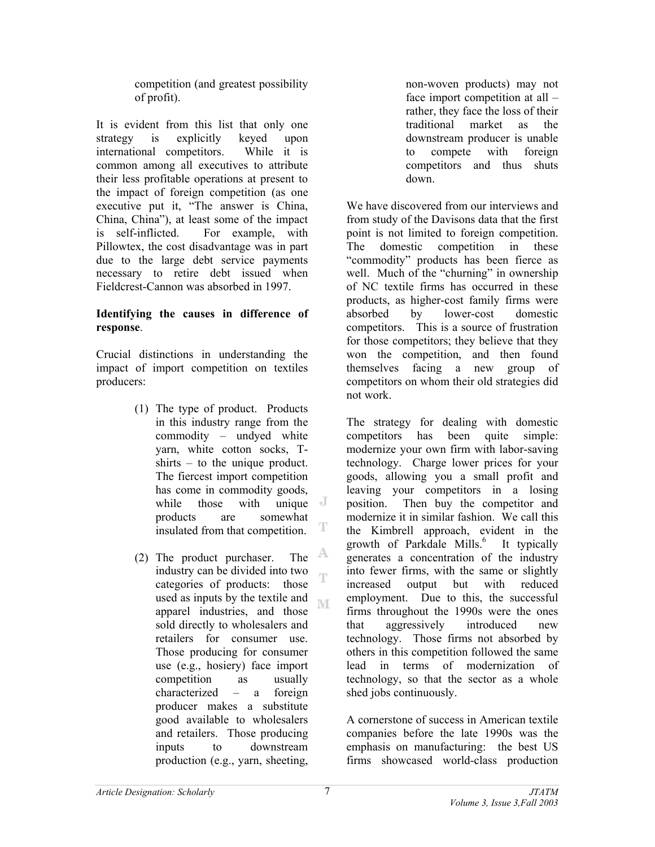competition (and greatest possibility of profit).

It is evident from this list that only one strategy is explicitly keyed upon international competitors. While it is common among all executives to attribute their less profitable operations at present to the impact of foreign competition (as one executive put it, "The answer is China, China, China"), at least some of the impact is self-inflicted. For example, with Pillowtex, the cost disadvantage was in part due to the large debt service payments necessary to retire debt issued when Fieldcrest-Cannon was absorbed in 1997.

## **Identifying the causes in difference of response**.

Crucial distinctions in understanding the impact of import competition on textiles producers:

- (1) The type of product. Products in this industry range from the commodity – undyed white yarn, white cotton socks, Tshirts – to the unique product. The fiercest import competition has come in commodity goods, while those with unique  $\mathbb{J}$ products are somewhat insulated from that competition.
- A (2) The product purchaser. The industry can be divided into two  $\mathbb{T}^{\mathbb{N}}$ categories of products: those used as inputs by the textile and **IVE** apparel industries, and those sold directly to wholesalers and retailers for consumer use. Those producing for consumer use (e.g., hosiery) face import competition as usually characterized – a foreign producer makes a substitute good available to wholesalers and retailers. Those producing inputs to downstream production (e.g., yarn, sheeting,

non-woven products) may not face import competition at all – rather, they face the loss of their traditional market as the downstream producer is unable to compete with foreign competitors and thus shuts down.

We have discovered from our interviews and from study of the Davisons data that the first point is not limited to foreign competition. The domestic competition in these "commodity" products has been fierce as well. Much of the "churning" in ownership of NC textile firms has occurred in these products, as higher-cost family firms were absorbed by lower-cost domestic competitors. This is a source of frustration for those competitors; they believe that they won the competition, and then found themselves facing a new group of competitors on whom their old strategies did not work.

The strategy for dealing with domestic competitors has been quite simple: modernize your own firm with labor-saving technology. Charge lower prices for your goods, allowing you a small profit and leaving your competitors in a losing position. Then buy the competitor and modernize it in similar fashion. We call this the Kimbrell approach, evident in the growth of Parkdale Mills.<sup>6</sup> It typically generates a concentration of the industry into fewer firms, with the same or slightly increased output but with reduced employment. Due to this, the successful firms throughout the 1990s were the ones that aggressively introduced new technology. Those firms not absorbed by others in this competition followed the same lead in terms of modernization of technology, so that the sector as a whole shed jobs continuously.

A cornerstone of success in American textile companies before the late 1990s was the emphasis on manufacturing: the best US firms showcased world-class production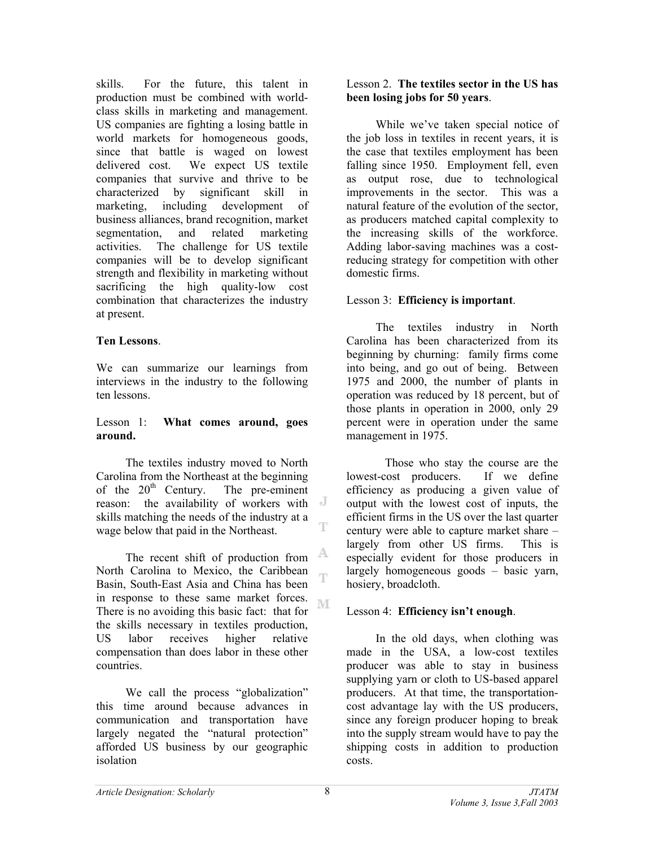skills. For the future, this talent in production must be combined with worldclass skills in marketing and management. US companies are fighting a losing battle in world markets for homogeneous goods, since that battle is waged on lowest delivered cost. We expect US textile companies that survive and thrive to be characterized by significant skill in marketing, including development of business alliances, brand recognition, market segmentation, and related marketing activities. The challenge for US textile companies will be to develop significant strength and flexibility in marketing without sacrificing the high quality-low cost combination that characterizes the industry at present.

## **Ten Lessons**.

We can summarize our learnings from interviews in the industry to the following ten lessons.

### Lesson 1: **What comes around, goes around.**

 The textiles industry moved to North Carolina from the Northeast at the beginning of the  $20<sup>th</sup>$  Century. The pre-eminent reason: the availability of workers with skills matching the needs of the industry at a wage below that paid in the Northeast.

A The recent shift of production from North Carolina to Mexico, the Caribbean Ŧ Basin, South-East Asia and China has been in response to these same market forces. M There is no avoiding this basic fact: that for the skills necessary in textiles production, US labor receives higher relative compensation than does labor in these other countries.

We call the process "globalization" this time around because advances in communication and transportation have largely negated the "natural protection" afforded US business by our geographic isolation

### Lesson 2. **The textiles sector in the US has been losing jobs for 50 years**.

 While we've taken special notice of the job loss in textiles in recent years, it is the case that textiles employment has been falling since 1950. Employment fell, even as output rose, due to technological improvements in the sector. This was a natural feature of the evolution of the sector, as producers matched capital complexity to the increasing skills of the workforce. Adding labor-saving machines was a costreducing strategy for competition with other domestic firms.

# Lesson 3: **Efficiency is important**.

 The textiles industry in North Carolina has been characterized from its beginning by churning: family firms come into being, and go out of being. Between 1975 and 2000, the number of plants in operation was reduced by 18 percent, but of those plants in operation in 2000, only 29 percent were in operation under the same management in 1975.

Those who stay the course are the lowest-cost producers. If we define efficiency as producing a given value of output with the lowest cost of inputs, the efficient firms in the US over the last quarter century were able to capture market share – largely from other US firms. This is especially evident for those producers in largely homogeneous goods – basic yarn, hosiery, broadcloth.

# Lesson 4: **Efficiency isn't enough**.

 In the old days, when clothing was made in the USA, a low-cost textiles producer was able to stay in business supplying yarn or cloth to US-based apparel producers. At that time, the transportationcost advantage lay with the US producers, since any foreign producer hoping to break into the supply stream would have to pay the shipping costs in addition to production costs.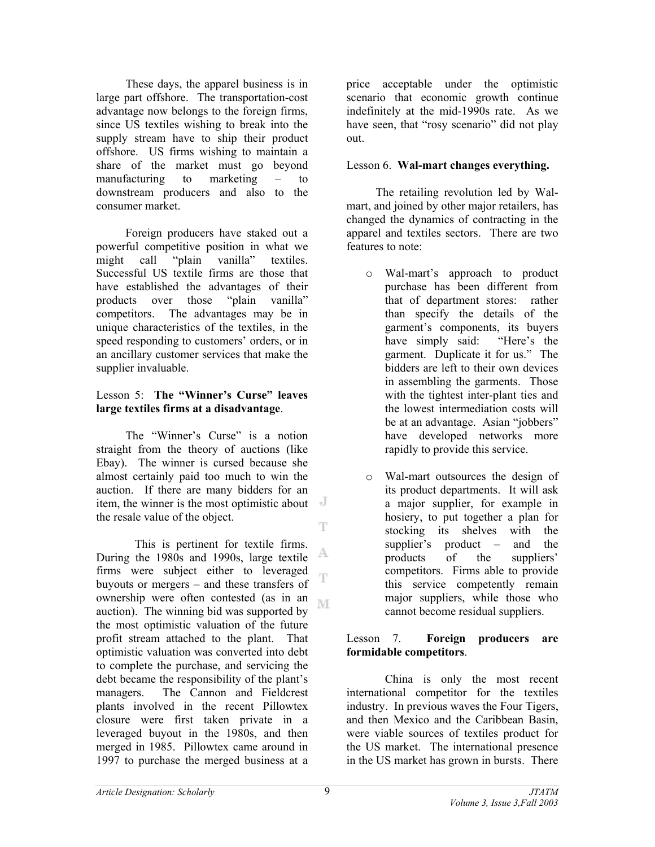These days, the apparel business is in large part offshore. The transportation-cost advantage now belongs to the foreign firms, since US textiles wishing to break into the supply stream have to ship their product offshore. US firms wishing to maintain a share of the market must go beyond manufacturing to marketing – to downstream producers and also to the consumer market.

 Foreign producers have staked out a powerful competitive position in what we might call "plain vanilla" textiles. Successful US textile firms are those that have established the advantages of their products over those "plain vanilla" competitors. The advantages may be in unique characteristics of the textiles, in the speed responding to customers' orders, or in an ancillary customer services that make the supplier invaluable.

## Lesson 5: **The "Winner's Curse" leaves large textiles firms at a disadvantage**.

 The "Winner's Curse" is a notion straight from the theory of auctions (like Ebay). The winner is cursed because she almost certainly paid too much to win the auction. If there are many bidders for an item, the winner is the most optimistic about the resale value of the object. T

This is pertinent for textile firms. A During the 1980s and 1990s, large textile firms were subject either to leveraged T buyouts or mergers – and these transfers of ownership were often contested (as in an M auction). The winning bid was supported by the most optimistic valuation of the future profit stream attached to the plant. That optimistic valuation was converted into debt to complete the purchase, and servicing the debt became the responsibility of the plant's managers. The Cannon and Fieldcrest plants involved in the recent Pillowtex closure were first taken private in a leveraged buyout in the 1980s, and then merged in 1985. Pillowtex came around in 1997 to purchase the merged business at a

price acceptable under the optimistic scenario that economic growth continue indefinitely at the mid-1990s rate. As we have seen, that "rosy scenario" did not play out.

## Lesson 6. **Wal-mart changes everything.**

The retailing revolution led by Walmart, and joined by other major retailers, has changed the dynamics of contracting in the apparel and textiles sectors. There are two features to note:

- o Wal-mart's approach to product purchase has been different from that of department stores: rather than specify the details of the garment's components, its buyers have simply said: "Here's the garment. Duplicate it for us." The bidders are left to their own devices in assembling the garments. Those with the tightest inter-plant ties and the lowest intermediation costs will be at an advantage. Asian "jobbers" have developed networks more rapidly to provide this service.
- o Wal-mart outsources the design of its product departments. It will ask a major supplier, for example in hosiery, to put together a plan for stocking its shelves with the supplier's product – and the products of the suppliers' competitors. Firms able to provide this service competently remain major suppliers, while those who cannot become residual suppliers.

## Lesson 7. **Foreign producers are formidable competitors**.

China is only the most recent international competitor for the textiles industry. In previous waves the Four Tigers, and then Mexico and the Caribbean Basin, were viable sources of textiles product for the US market. The international presence in the US market has grown in bursts. There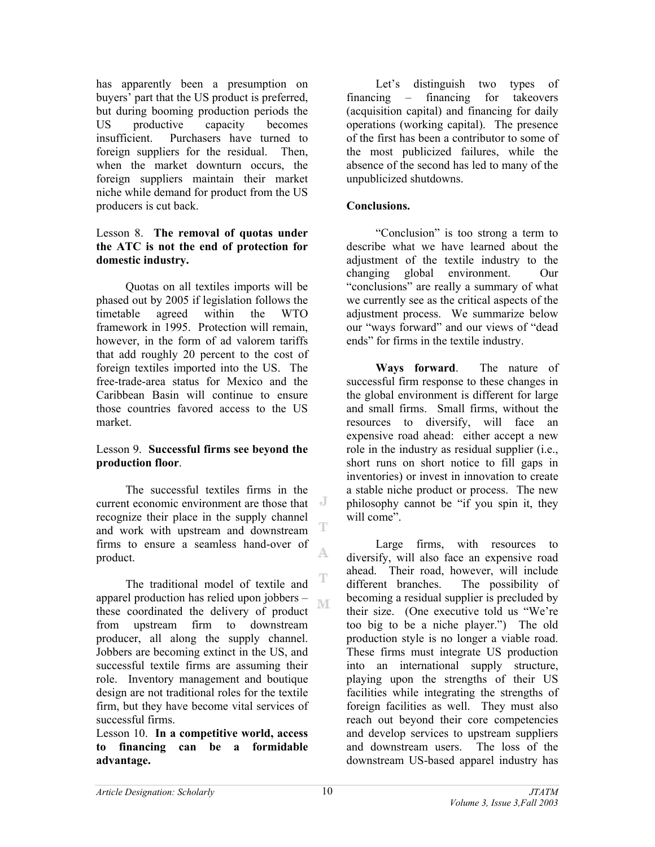has apparently been a presumption on buyers' part that the US product is preferred, but during booming production periods the US productive capacity becomes insufficient. Purchasers have turned to foreign suppliers for the residual. Then, when the market downturn occurs, the foreign suppliers maintain their market niche while demand for product from the US producers is cut back.

### Lesson 8. **The removal of quotas under the ATC is not the end of protection for domestic industry.**

 Quotas on all textiles imports will be phased out by 2005 if legislation follows the timetable agreed within the WTO framework in 1995. Protection will remain, however, in the form of ad valorem tariffs that add roughly 20 percent to the cost of foreign textiles imported into the US. The free-trade-area status for Mexico and the Caribbean Basin will continue to ensure those countries favored access to the US market.

## Lesson 9. **Successful firms see beyond the production floor**.

The successful textiles firms in the current economic environment are those that recognize their place in the supply channel т and work with upstream and downstream firms to ensure a seamless hand-over of A. product.

The traditional model of textile and apparel production has relied upon jobbers – ľΜ these coordinated the delivery of product from upstream firm to downstream producer, all along the supply channel. Jobbers are becoming extinct in the US, and successful textile firms are assuming their role. Inventory management and boutique design are not traditional roles for the textile firm, but they have become vital services of successful firms.

#### Lesson 10. **In a competitive world, access to financing can be a formidable advantage.**

Let's distinguish two types of financing – financing for takeovers (acquisition capital) and financing for daily operations (working capital). The presence of the first has been a contributor to some of the most publicized failures, while the absence of the second has led to many of the unpublicized shutdowns.

## **Conclusions.**

"Conclusion" is too strong a term to describe what we have learned about the adjustment of the textile industry to the changing global environment. Our "conclusions" are really a summary of what we currently see as the critical aspects of the adjustment process. We summarize below our "ways forward" and our views of "dead ends" for firms in the textile industry.

**Ways forward**. The nature of successful firm response to these changes in the global environment is different for large and small firms. Small firms, without the resources to diversify, will face an expensive road ahead: either accept a new role in the industry as residual supplier (i.e., short runs on short notice to fill gaps in inventories) or invest in innovation to create a stable niche product or process. The new philosophy cannot be "if you spin it, they will come".

Large firms, with resources to diversify, will also face an expensive road ahead. Their road, however, will include different branches. The possibility of becoming a residual supplier is precluded by their size. (One executive told us "We're too big to be a niche player.") The old production style is no longer a viable road. These firms must integrate US production into an international supply structure, playing upon the strengths of their US facilities while integrating the strengths of foreign facilities as well. They must also reach out beyond their core competencies and develop services to upstream suppliers and downstream users. The loss of the downstream US-based apparel industry has

T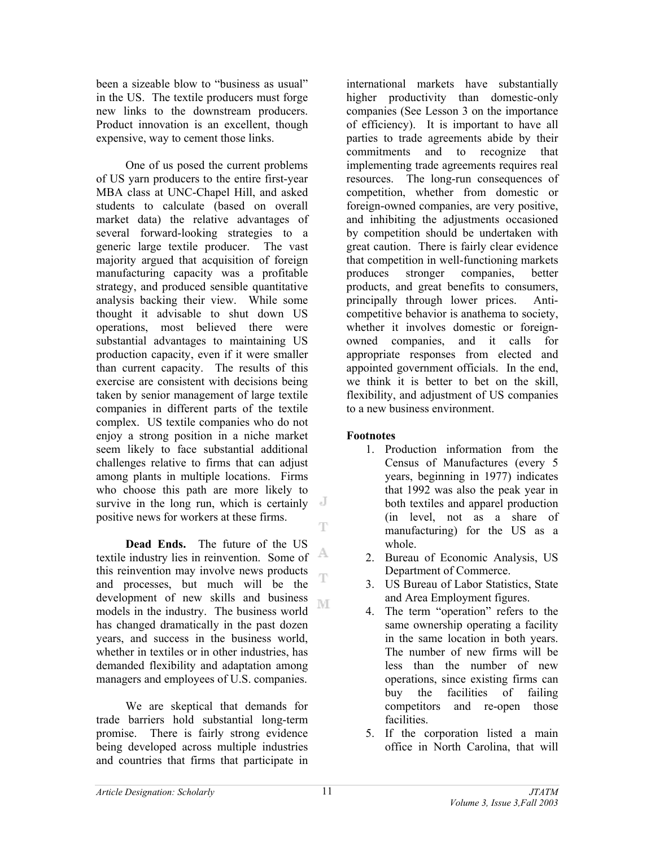been a sizeable blow to "business as usual" in the US. The textile producers must forge new links to the downstream producers. Product innovation is an excellent, though expensive, way to cement those links.

One of us posed the current problems of US yarn producers to the entire first-year MBA class at UNC-Chapel Hill, and asked students to calculate (based on overall market data) the relative advantages of several forward-looking strategies to a generic large textile producer. The vast majority argued that acquisition of foreign manufacturing capacity was a profitable strategy, and produced sensible quantitative analysis backing their view. While some thought it advisable to shut down US operations, most believed there were substantial advantages to maintaining US production capacity, even if it were smaller than current capacity. The results of this exercise are consistent with decisions being taken by senior management of large textile companies in different parts of the textile complex. US textile companies who do not enjoy a strong position in a niche market seem likely to face substantial additional challenges relative to firms that can adjust among plants in multiple locations. Firms who choose this path are more likely to survive in the long run, which is certainly positive news for workers at these firms. T

 **Dead Ends.** The future of the US A textile industry lies in reinvention. Some of this reinvention may involve news products T and processes, but much will be the development of new skills and business M models in the industry. The business world has changed dramatically in the past dozen years, and success in the business world, whether in textiles or in other industries, has demanded flexibility and adaptation among managers and employees of U.S. companies.

We are skeptical that demands for trade barriers hold substantial long-term promise. There is fairly strong evidence being developed across multiple industries and countries that firms that participate in

international markets have substantially higher productivity than domestic-only companies (See Lesson 3 on the importance of efficiency). It is important to have all parties to trade agreements abide by their commitments and to recognize that implementing trade agreements requires real resources. The long-run consequences of competition, whether from domestic or foreign-owned companies, are very positive, and inhibiting the adjustments occasioned by competition should be undertaken with great caution. There is fairly clear evidence that competition in well-functioning markets produces stronger companies, better products, and great benefits to consumers, principally through lower prices. Anticompetitive behavior is anathema to society, whether it involves domestic or foreignowned companies, and it calls for appropriate responses from elected and appointed government officials. In the end, we think it is better to bet on the skill, flexibility, and adjustment of US companies to a new business environment.

## **Footnotes**

- 1. Production information from the Census of Manufactures (every 5 years, beginning in 1977) indicates that 1992 was also the peak year in both textiles and apparel production (in level, not as a share of manufacturing) for the US as a whole.
- 2. Bureau of Economic Analysis, US Department of Commerce.
- 3. US Bureau of Labor Statistics, State and Area Employment figures.
- 4. The term "operation" refers to the same ownership operating a facility in the same location in both years. The number of new firms will be less than the number of new operations, since existing firms can buy the facilities of failing competitors and re-open those facilities.
- 5. If the corporation listed a main office in North Carolina, that will